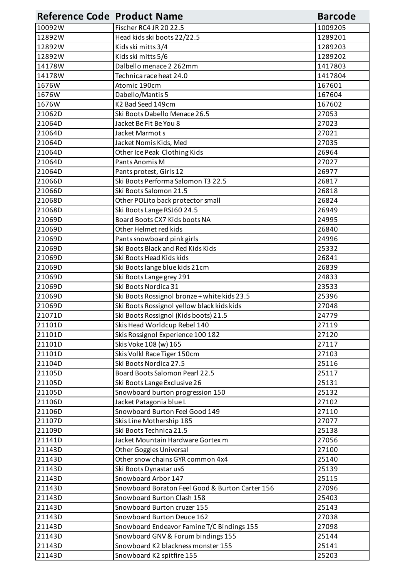| <b>Reference Code Product Name</b> |                                                 | <b>Barcode</b> |
|------------------------------------|-------------------------------------------------|----------------|
| 10092W                             | Fischer RC4 JR 20 22.5                          | 1009205        |
| 12892W                             | Head kids ski boots 22/22.5                     | 1289201        |
| 12892W                             | Kids ski mitts 3/4                              | 1289203        |
| 12892W                             | Kids ski mitts 5/6                              | 1289202        |
| 14178W                             | Dalbello menace 2 262mm                         | 1417803        |
| 14178W                             | Technica race heat 24.0                         | 1417804        |
| 1676W                              | Atomic 190cm                                    | 167601         |
| 1676W                              | Dabello/Mantis 5                                | 167604         |
| 1676W                              | K2 Bad Seed 149cm                               | 167602         |
| 21062D                             | Ski Boots Dabello Menace 26.5                   | 27053          |
| 21064D                             | Jacket Be Fit Be You 8                          | 27023          |
| 21064D                             | Jacket Marmot s                                 | 27021          |
| 21064D                             | Jacket Nomis Kids, Med                          | 27035          |
| 21064D                             | Other Ice Peak Clothing Kids                    | 26964          |
| 21064D                             | Pants Anomis M                                  | 27027          |
| 21064D                             | Pants protest, Girls 12                         | 26977          |
| 21066D                             | Ski Boots Performa Salomon T3 22.5              | 26817          |
| 21066D                             | Ski Boots Salomon 21.5                          | 26818          |
| 21068D                             | Other POLito back protector small               | 26824          |
| 21068D                             | Ski Boots Lange RSJ60 24.5                      | 26949          |
| 21069D                             | Board Boots CX7 Kids boots NA                   | 24995          |
| 21069D                             | Other Helmet red kids                           | 26840          |
| 21069D                             | Pants snowboard pink girls                      | 24996          |
| 21069D                             | Ski Boots Black and Red Kids Kids               | 25332          |
| 21069D                             | Ski Boots Head Kids kids                        | 26841          |
| 21069D                             | Ski Boots lange blue kids 21cm                  | 26839          |
| 21069D                             | Ski Boots Lange grey 291                        | 24833          |
| 21069D                             | Ski Boots Nordica 31                            | 23533          |
| 21069D                             | Ski Boots Rossignol bronze + white kids 23.5    | 25396          |
| 21069D                             | Ski Boots Rossignol yellow black kids kids      | 27048          |
| 21071D                             | Ski Boots Rossignol (Kids boots) 21.5           | 24779          |
| 21101D                             | Skis Head Worldcup Rebel 140                    | 27119          |
| 21101D                             | Skis Rossignol Experience 100 182               | 27120          |
| 21101D                             | Skis Voke 108 (w) 165                           | 27117          |
| 21101D                             | Skis Volkl Race Tiger 150cm                     | 27103          |
| 21104D                             | Ski Boots Nordica 27.5                          | 25116          |
| 21105D                             | Board Boots Salomon Pearl 22.5                  | 25117          |
| 21105D                             | Ski Boots Lange Exclusive 26                    | 25131          |
| 21105D                             | Snowboard burton progression 150                | 25132          |
| 21106D                             | Jacket Patagonia blue L                         | 27102          |
| 21106D                             | Snowboard Burton Feel Good 149                  | 27110          |
| 21107D                             | Skis Line Mothership 185                        | 27077          |
| 21109D                             | Ski Boots Technica 21.5                         | 25138          |
| 21141D                             | Jacket Mountain Hardware Gortex m               | 27056          |
| 21143D                             | <b>Other Goggles Universal</b>                  | 27100          |
| 21143D                             | Other snow chains GYR common 4x4                | 25140          |
| 21143D                             | Ski Boots Dynastar us6                          | 25139          |
| 21143D                             | Snowboard Arbor 147                             | 25115          |
| 21143D                             | Snowboard Boraton Feel Good & Burton Carter 156 | 27096          |
| 21143D                             | Snowboard Burton Clash 158                      | 25403          |
| 21143D                             | Snowboard Burton cruzer 155                     | 25143          |
| 21143D                             | Snowboard Burton Deuce 162                      | 27038          |
| 21143D                             | Snowboard Endeavor Famine T/C Bindings 155      | 27098          |
| 21143D                             | Snowboard GNV & Forum bindings 155              | 25144          |
| 21143D                             | Snowboard K2 blackness monster 155              | 25141          |
| 21143D                             | Snowboard K2 spitfire 155                       | 25203          |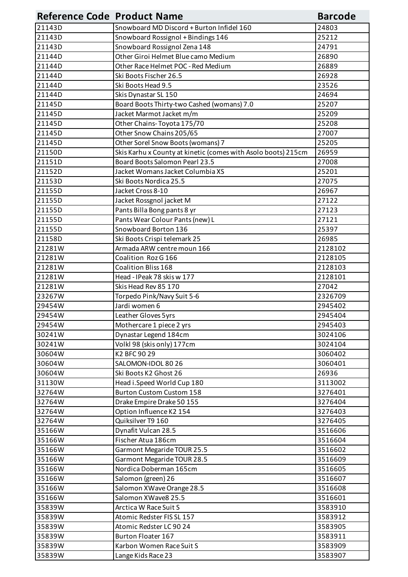| <b>Reference Code Product Name</b> |                                                               | <b>Barcode</b> |
|------------------------------------|---------------------------------------------------------------|----------------|
| 21143D                             | Snowboard MD Discord + Burton Infidel 160                     | 24803          |
| 21143D                             | Snowboard Rossignol + Bindings 146                            | 25212          |
| 21143D                             | Snowboard Rossignol Zena 148                                  | 24791          |
| 21144D                             | Other Giroi Helmet Blue camo Medium                           | 26890          |
| 21144D                             | Other Race Helmet POC - Red Medium                            | 26889          |
| 21144D                             | Ski Boots Fischer 26.5                                        | 26928          |
| 21144D                             | Ski Boots Head 9.5                                            | 23526          |
| 21144D                             | Skis Dynastar SL 150                                          | 24694          |
| 21145D                             | Board Boots Thirty-two Cashed (womans) 7.0                    | 25207          |
| 21145D                             | Jacket Marmot Jacket m/m                                      | 25209          |
| 21145D                             | Other Chains-Toyota 175/70                                    | 25208          |
| 21145D                             | Other Snow Chains 205/65                                      | 27007          |
| 21145D                             | Other Sorel Snow Boots (womans) 7                             | 25205          |
| 21150D                             | Skis Karhu x County at kinetic (comes with Asolo boots) 215cm | 26959          |
| 21151D                             | Board Boots Salomon Pearl 23.5                                | 27008          |
| 21152D                             | Jacket Womans Jacket Columbia XS                              | 25201          |
| 21153D                             | Ski Boots Nordica 25.5                                        | 27075          |
| 21155D                             | Jacket Cross 8-10                                             | 26967          |
| 21155D                             | Jacket Rossgnol jacket M                                      | 27122          |
| 21155D                             | Pants Billa Bong pants 8 yr                                   | 27123          |
| 21155D                             | Pants Wear Colour Pants (new) L                               | 27121          |
| 21155D                             | Snowboard Borton 136                                          | 25397          |
| 21158D                             | Ski Boots Crispi telemark 25                                  | 26985          |
| 21281W                             | Armada ARW centre moun 166                                    | 2128102        |
| 21281W                             | Coalition Roz G 166                                           | 2128105        |
| 21281W                             | Coalition Bliss 168                                           | 2128103        |
| 21281W                             | Head - IPeak 78 skis w 177                                    | 2128101        |
| 21281W                             | Skis Head Rev 85 170                                          | 27042          |
| 23267W                             | Torpedo Pink/Navy Suit 5-6                                    | 2326709        |
| 29454W                             | Jardi women 6                                                 | 2945402        |
| 29454W                             | Leather Gloves 5yrs                                           | 2945404        |
| 29454W                             | Mothercare 1 piece 2 yrs                                      | 2945403        |
| 30241W                             | Dynastar Legend 184cm                                         | 3024106        |
| 30241W                             | Volkl 98 (skis only) 177cm                                    | 3024104        |
| 30604W                             | K2 BFC 90 29                                                  | 3060402        |
| 30604W                             | SALOMON-IDOL 80 26                                            | 3060401        |
| 30604W                             | Ski Boots K2 Ghost 26                                         | 26936          |
| 31130W                             | Head i.Speed World Cup 180                                    | 3113002        |
| 32764W                             | <b>Burton Custom Custom 158</b>                               | 3276401        |
| 32764W                             | Drake Empire Drake 50 155                                     | 3276404        |
| 32764W                             | Option Influence K2 154                                       | 3276403        |
| 32764W                             | Quiksilver T9 160                                             | 3276405        |
| 35166W                             | Dynafit Vulcan 28.5                                           | 3516606        |
| 35166W                             | Fischer Atua 186cm                                            | 3516604        |
| 35166W                             | Garmont Megaride TOUR 25.5                                    | 3516602        |
| 35166W                             | Garmont Megaride TOUR 28.5                                    | 3516609        |
| 35166W                             | Nordica Doberman 165cm                                        | 3516605        |
| 35166W                             | Salomon (green) 26                                            | 3516607        |
| 35166W                             | Salomon XWave Orange 28.5                                     | 3516608        |
| 35166W                             | Salomon XWave8 25.5                                           | 3516601        |
| 35839W                             | Arctica W Race Suit S                                         | 3583910        |
| 35839W                             | Atomic Redster FIS SL 157                                     | 3583912        |
| 35839W                             | Atomic Redster LC 90 24                                       | 3583905        |
| 35839W                             | <b>Burton Floater 167</b>                                     | 3583911        |
| 35839W                             | Karbon Women Race Suit S                                      | 3583909        |
| 35839W                             | Lange Kids Race 23                                            | 3583907        |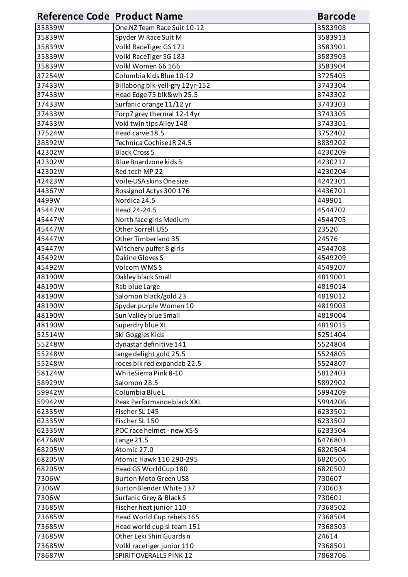| <b>Reference Code Product Name</b> |                                 | <b>Barcode</b> |
|------------------------------------|---------------------------------|----------------|
| 35839W                             | One NZ Team Race Suit 10-12     | 3583908        |
| 35839W                             | Spyder W Race Suit M            | 3583913        |
| 35839W                             | Volkl RaceTiger GS 171          | 3583901        |
| 35839W                             | Volkl RaceTiger SG 183          | 3583903        |
| 35839W                             | Volkl Women 66 166              | 3583904        |
| 37254W                             | Columbia kids Blue 10-12        | 3725405        |
| 37433W                             | Billabong blk-yell-gry 12yr-152 | 3743304        |
| 37433W                             | Head Edge 75 blk&wh 25.5        | 3743302        |
| 37433W                             | Surfanic orange 11/12 yr        | 3743303        |
| 37433W                             | Torp7 grey thermal 12-14yr      | 3743305        |
| 37433W                             | Vokl twin tips Alley 148        | 3743301        |
| 37524W                             | Head carve 18.5                 | 3752402        |
| 38392W                             | Technica Cochise JR 24.5        | 3839202        |
| 42302W                             | <b>Black Cross 5</b>            | 4230209        |
| 42302W                             | Blue Boardzone kids 5           | 4230212        |
| 42302W                             | Red tech MP 22                  | 4230204        |
| 42423W                             | Voile-USA skins One size        | 4242301        |
| 44367W                             | Rossignol Actys 300 176         | 4436701        |
| 4499W                              | Nordica 24.5                    | 449901         |
| 45447W                             | Head 24-24.5                    | 4544702        |
| 45447W                             | North face girls Medium         | 4544705        |
| 45447W                             | Other Sorrell US5               | 23520          |
| 45447W                             | Other Timberland 35             | 24576          |
| 45447W                             | Witchery puffer 8 girls         | 4544708        |
| 45492W                             | Dakine Gloves S                 | 4549209        |
| 45492W                             | Volcom WMSS                     | 4549207        |
| 48190W                             | Oakley black Small              | 4819001        |
| 48190W                             | Rab blue Large                  | 4819014        |
| 48190W                             | Salomon black/gold 23           | 4819012        |
| 48190W                             | Spyder purple Women 10          | 4819003        |
| 48190W                             | Sun Valley blue Small           | 4819004        |
| 48190W                             | Superdry blue XL                | 4819015        |
| 52514W                             | Ski Goggles Kids                | 5251404        |
| 55248W                             | dynastar definitive 141         | 5524804        |
| 55248W                             | lange delight gold 25.5         | 5524805        |
| 55248W                             | roces blk red expandab 22.5     | 5524807        |
| 58124W                             | WhiteSierra Pink 8-10           | 5812403        |
| 58929W                             | Salomon 28.5                    | 5892902        |
| 59942W                             | Columbia Blue L                 | 5994209        |
| 59942W                             | Peak Performance black XXL      | 5994206        |
| 62335W                             | Fischer SL 145                  | 6233501        |
| 62335W                             | Fischer SL 150                  | 6233502        |
| 62335W                             | POC race helmet - new XS-S      | 6233504        |
| 64768W                             | Lange 21.5                      | 6476803        |
| 68205W                             | Atomic 27.0                     | 6820504        |
| 68205W                             | Atomic Hawk 110 290-295         | 6820506        |
| 68205W                             | Head GS WorldCup 180            | 6820502        |
| 7306W                              | <b>Burton Moto Green US8</b>    | 730607         |
| 7306W                              | BurtonBlender White 137         | 730603         |
| 7306W                              | Surfanic Grey & Black S         | 730601         |
| 73685W                             | Fischer heat junior 110         | 7368502        |
| 73685W                             | Head World Cup rebels 165       | 7368504        |
| 73685W                             | Head world cup sl team 151      | 7368503        |
| 73685W                             | Other Leki Shin Guards n        | 24614          |
| 73685W                             | Volkl racetiger junior 110      | 7368501        |
| 78687W                             | <b>SPIRIT OVERALLS PINK 12</b>  | 7868706        |